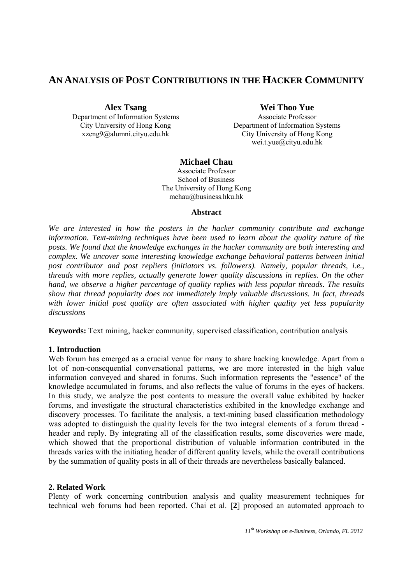# **AN ANALYSIS OF POST CONTRIBUTIONS IN THE HACKER COMMUNITY**

**Alex Tsang** 

Department of Information Systems City University of Hong Kong xzeng9@alumni.cityu.edu.hk

**Wei Thoo Yue** 

Associate Professor Department of Information Systems City University of Hong Kong wei.t.yue@cityu.edu.hk

# **Michael Chau**

Associate Professor School of Business The University of Hong Kong mchau@business.hku.hk

### **Abstract**

*We are interested in how the posters in the hacker community contribute and exchange information. Text-mining techniques have been used to learn about the quality nature of the posts. We found that the knowledge exchanges in the hacker community are both interesting and complex. We uncover some interesting knowledge exchange behavioral patterns between initial post contributor and post repliers (initiators vs. followers). Namely, popular threads, i.e., threads with more replies, actually generate lower quality discussions in replies. On the other hand, we observe a higher percentage of quality replies with less popular threads. The results show that thread popularity does not immediately imply valuable discussions. In fact, threads*  with lower initial post quality are often associated with higher quality yet less popularity *discussions* 

**Keywords:** Text mining, hacker community, supervised classification, contribution analysis

# **1. Introduction**

Web forum has emerged as a crucial venue for many to share hacking knowledge. Apart from a lot of non-consequential conversational patterns, we are more interested in the high value information conveyed and shared in forums. Such information represents the "essence" of the knowledge accumulated in forums, and also reflects the value of forums in the eyes of hackers. In this study, we analyze the post contents to measure the overall value exhibited by hacker forums, and investigate the structural characteristics exhibited in the knowledge exchange and discovery processes. To facilitate the analysis, a text-mining based classification methodology was adopted to distinguish the quality levels for the two integral elements of a forum thread header and reply. By integrating all of the classification results, some discoveries were made, which showed that the proportional distribution of valuable information contributed in the threads varies with the initiating header of different quality levels, while the overall contributions by the summation of quality posts in all of their threads are nevertheless basically balanced.

# **2. Related Work**

Plenty of work concerning contribution analysis and quality measurement techniques for technical web forums had been reported. Chai et al. [**2**] proposed an automated approach to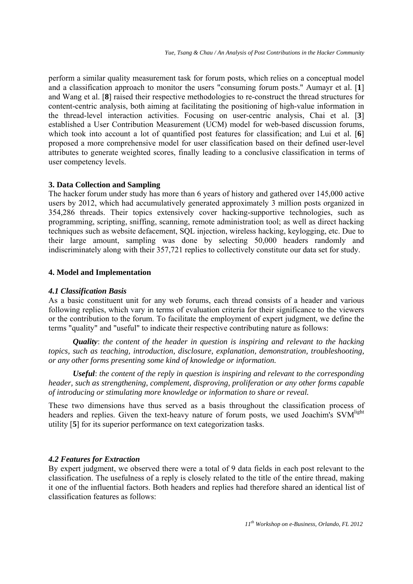perform a similar quality measurement task for forum posts, which relies on a conceptual model and a classification approach to monitor the users "consuming forum posts." Aumayr et al. [**1**] and Wang et al. [**8**] raised their respective methodologies to re-construct the thread structures for content-centric analysis, both aiming at facilitating the positioning of high-value information in the thread-level interaction activities. Focusing on user-centric analysis, Chai et al. [**3**] established a User Contribution Measurement (UCM) model for web-based discussion forums, which took into account a lot of quantified post features for classification; and Lui et al. [**6**] proposed a more comprehensive model for user classification based on their defined user-level attributes to generate weighted scores, finally leading to a conclusive classification in terms of user competency levels.

### **3. Data Collection and Sampling**

The hacker forum under study has more than 6 years of history and gathered over 145,000 active users by 2012, which had accumulatively generated approximately 3 million posts organized in 354,286 threads. Their topics extensively cover hacking-supportive technologies, such as programming, scripting, sniffing, scanning, remote administration tool; as well as direct hacking techniques such as website defacement, SQL injection, wireless hacking, keylogging, etc. Due to their large amount, sampling was done by selecting 50,000 headers randomly and indiscriminately along with their 357,721 replies to collectively constitute our data set for study.

# **4. Model and Implementation**

### *4.1 Classification Basis*

As a basic constituent unit for any web forums, each thread consists of a header and various following replies, which vary in terms of evaluation criteria for their significance to the viewers or the contribution to the forum. To facilitate the employment of expert judgment, we define the terms "quality" and "useful" to indicate their respective contributing nature as follows:

*Quality*: *the content of the header in question is inspiring and relevant to the hacking topics, such as teaching, introduction, disclosure, explanation, demonstration, troubleshooting, or any other forms presenting some kind of knowledge or information.*

*Useful*: *the content of the reply in question is inspiring and relevant to the corresponding header, such as strengthening, complement, disproving, proliferation or any other forms capable of introducing or stimulating more knowledge or information to share or reveal.*

These two dimensions have thus served as a basis throughout the classification process of headers and replies. Given the text-heavy nature of forum posts, we used Joachim's SVM<sup>light</sup> utility [**5**] for its superior performance on text categorization tasks.

# *4.2 Features for Extraction*

By expert judgment, we observed there were a total of 9 data fields in each post relevant to the classification. The usefulness of a reply is closely related to the title of the entire thread, making it one of the influential factors. Both headers and replies had therefore shared an identical list of classification features as follows: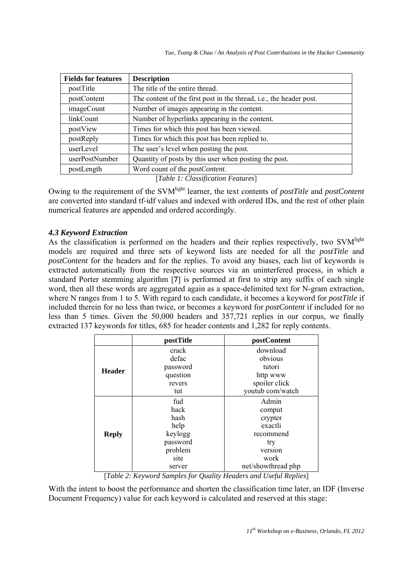*Yue, Tsang & Chau / An Analysis of Post Contributions in the Hacker Community* 

| <b>Fields for features</b> | <b>Description</b>                                                          |  |  |  |
|----------------------------|-----------------------------------------------------------------------------|--|--|--|
| postTitle                  | The title of the entire thread.                                             |  |  |  |
| postContent                | The content of the first post in the thread, <i>i.e.</i> , the header post. |  |  |  |
| <i>imageCount</i>          | Number of images appearing in the content.                                  |  |  |  |
| linkCount                  | Number of hyperlinks appearing in the content.                              |  |  |  |
| postView                   | Times for which this post has been viewed.                                  |  |  |  |
| postReply                  | Times for which this post has been replied to.                              |  |  |  |
| userLevel                  | The user's level when posting the post.                                     |  |  |  |
| userPostNumber             | Quantity of posts by this user when posting the post.                       |  |  |  |
| postLength                 | Word count of the <i>postContent</i> .                                      |  |  |  |
|                            |                                                                             |  |  |  |

[*Table 1: Classification Features*]

Owing to the requirement of the SVMlight learner, the text contents of *postTitle* and *postContent* are converted into standard tf-idf values and indexed with ordered IDs, and the rest of other plain numerical features are appended and ordered accordingly.

# *4.3 Keyword Extraction*

As the classification is performed on the headers and their replies respectively, two SVM<sup>light</sup> models are required and three sets of keyword lists are needed for all the *postTitle* and *postContent* for the headers and for the replies. To avoid any biases, each list of keywords is extracted automatically from the respective sources via an uninterfered process, in which a standard Porter stemming algorithm [**7**] is performed at first to strip any suffix of each single word, then all these words are aggregated again as a space-delimited text for N-gram extraction, where N ranges from 1 to 5. With regard to each candidate, it becomes a keyword for *postTitle* if included therein for no less than twice, or becomes a keyword for *postContent* if included for no less than 5 times. Given the 50,000 headers and 357,721 replies in our corpus, we finally extracted 137 keywords for titles, 685 for header contents and 1,282 for reply contents.

|               | postTitle | postContent        |  |
|---------------|-----------|--------------------|--|
| <b>Header</b> | crack     | download           |  |
|               | defac     | obvious            |  |
|               | password  | tutori             |  |
|               | question  | http www           |  |
|               | revers    | spoiler click      |  |
|               | tut       | youtub com/watch   |  |
| <b>Reply</b>  | fud       | Admin              |  |
|               | hack      | comput             |  |
|               | hash      | crypter            |  |
|               | help      | exactli            |  |
|               | keylogg   | recommend          |  |
|               | password  | try                |  |
|               | problem   | version            |  |
|               | site      | work               |  |
|               | server    | net/showthread php |  |

[*Table 2: Keyword Samples for Quality Headers and Useful Replies*]

With the intent to boost the performance and shorten the classification time later, an IDF (Inverse Document Frequency) value for each keyword is calculated and reserved at this stage: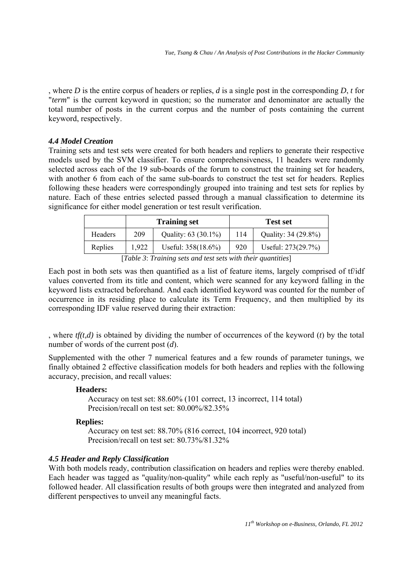, where *D* is the entire corpus of headers or replies, *d* is a single post in the corresponding *D*, *t* for "*term*" is the current keyword in question; so the numerator and denominator are actually the total number of posts in the current corpus and the number of posts containing the current keyword, respectively.

### *4.4 Model Creation*

Training sets and test sets were created for both headers and repliers to generate their respective models used by the SVM classifier. To ensure comprehensiveness, 11 headers were randomly selected across each of the 19 sub-boards of the forum to construct the training set for headers, with another 6 from each of the same sub-boards to construct the test set for headers. Replies following these headers were correspondingly grouped into training and test sets for replies by nature. Each of these entries selected passed through a manual classification to determine its significance for either model generation or test result verification.

|                                                                                                                                                                                                                                                                 |       | <b>Training set</b>   | <b>Test set</b> |                     |  |
|-----------------------------------------------------------------------------------------------------------------------------------------------------------------------------------------------------------------------------------------------------------------|-------|-----------------------|-----------------|---------------------|--|
| Headers                                                                                                                                                                                                                                                         | 209   | Quality: 63 (30.1%)   | 114             | Quality: 34 (29.8%) |  |
| Replies                                                                                                                                                                                                                                                         | 1,922 | Useful: $358(18.6\%)$ | 920             | Useful: 273(29.7%)  |  |
| F <del>ranti</del> 11.<br>$\blacksquare$ . The set of the set of the set of the set of the set of the set of the set of the set of the set of the set of the set of the set of the set of the set of the set of the set of the set of the set of the set of the |       |                       |                 |                     |  |

[*Table 3*: *Training sets and test sets with their quantities*]

Each post in both sets was then quantified as a list of feature items, largely comprised of tf/idf values converted from its title and content, which were scanned for any keyword falling in the keyword lists extracted beforehand. And each identified keyword was counted for the number of occurrence in its residing place to calculate its Term Frequency, and then multiplied by its corresponding IDF value reserved during their extraction:

, where *tf(t,d)* is obtained by dividing the number of occurrences of the keyword (*t*) by the total number of words of the current post (*d*).

Supplemented with the other 7 numerical features and a few rounds of parameter tunings, we finally obtained 2 effective classification models for both headers and replies with the following accuracy, precision, and recall values:

### **Headers:**

Accuracy on test set: 88.60% (101 correct, 13 incorrect, 114 total) Precision/recall on test set: 80.00%/82.35%

### **Replies:**

Accuracy on test set: 88.70% (816 correct, 104 incorrect, 920 total) Precision/recall on test set: 80.73%/81.32%

### *4.5 Header and Reply Classification*

With both models ready, contribution classification on headers and replies were thereby enabled. Each header was tagged as "quality/non-quality" while each reply as "useful/non-useful" to its followed header. All classification results of both groups were then integrated and analyzed from different perspectives to unveil any meaningful facts.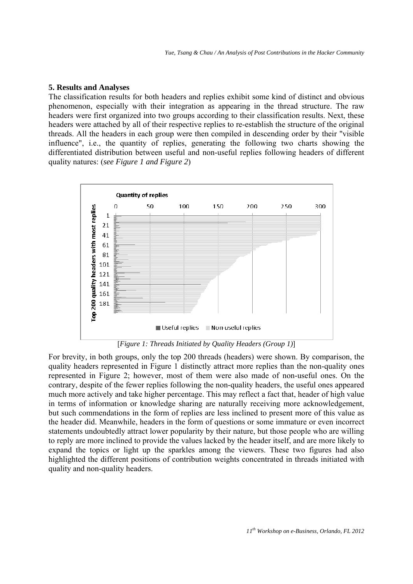### **5. Results and Analyses**

The classification results for both headers and replies exhibit some kind of distinct and obvious phenomenon, especially with their integration as appearing in the thread structure. The raw headers were first organized into two groups according to their classification results. Next, these headers were attached by all of their respective replies to re-establish the structure of the original threads. All the headers in each group were then compiled in descending order by their "visible influence", i.e., the quantity of replies, generating the following two charts showing the differentiated distribution between useful and non-useful replies following headers of different quality natures: (*see Figure 1 and Figure 2*)



[*Figure 1: Threads Initiated by Quality Headers (Group 1)*]

For brevity, in both groups, only the top 200 threads (headers) were shown. By comparison, the quality headers represented in Figure 1 distinctly attract more replies than the non-quality ones represented in Figure 2; however, most of them were also made of non-useful ones. On the contrary, despite of the fewer replies following the non-quality headers, the useful ones appeared much more actively and take higher percentage. This may reflect a fact that, header of high value in terms of information or knowledge sharing are naturally receiving more acknowledgement, but such commendations in the form of replies are less inclined to present more of this value as the header did. Meanwhile, headers in the form of questions or some immature or even incorrect statements undoubtedly attract lower popularity by their nature, but those people who are willing to reply are more inclined to provide the values lacked by the header itself, and are more likely to expand the topics or light up the sparkles among the viewers. These two figures had also highlighted the different positions of contribution weights concentrated in threads initiated with quality and non-quality headers.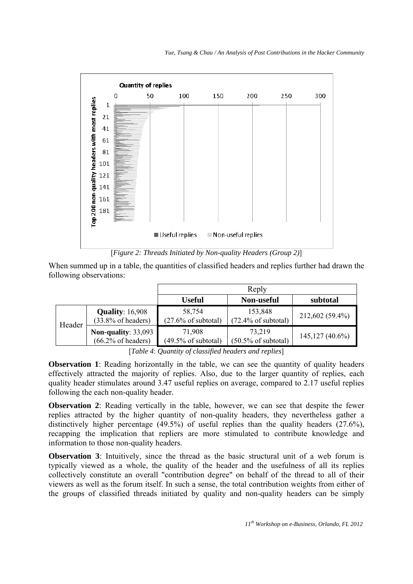

[*Figure 2: Threads Initiated by Non-quality Headers (Group 2)*]

When summed up in a table, the quantities of classified headers and replies further had drawn the following observations:

|                                                                                                                                                                                                                                                                                                                                                                                                  |                                                             | Reply                                    |                                           |                   |  |  |
|--------------------------------------------------------------------------------------------------------------------------------------------------------------------------------------------------------------------------------------------------------------------------------------------------------------------------------------------------------------------------------------------------|-------------------------------------------------------------|------------------------------------------|-------------------------------------------|-------------------|--|--|
|                                                                                                                                                                                                                                                                                                                                                                                                  |                                                             | <b>Useful</b>                            | <b>Non-useful</b>                         | subtotal          |  |  |
| Header                                                                                                                                                                                                                                                                                                                                                                                           | <b>Quality: 16,908</b><br>$(33.8\% \text{ of headers})$     | 58,754<br>$(27.6\% \text{ of subtotal})$ | 153,848<br>$(72.4\% \text{ of subtotal})$ | 212,602 (59.4%)   |  |  |
|                                                                                                                                                                                                                                                                                                                                                                                                  | <b>Non-quality: 33,093</b><br>$(66.2\% \text{ of headers})$ | 71,908<br>$(49.5\% \text{ of subtotal})$ | 73,219<br>$(50.5\% \text{ of subtotal})$  | $145,127(40.6\%)$ |  |  |
| $\mathbf{r}$ $\mathbf{r}$ $\mathbf{r}$ $\mathbf{r}$ $\mathbf{r}$ $\mathbf{r}$ $\mathbf{r}$ $\mathbf{r}$ $\mathbf{r}$ $\mathbf{r}$ $\mathbf{r}$ $\mathbf{r}$ $\mathbf{r}$ $\mathbf{r}$ $\mathbf{r}$ $\mathbf{r}$ $\mathbf{r}$ $\mathbf{r}$ $\mathbf{r}$ $\mathbf{r}$ $\mathbf{r}$ $\mathbf{r}$ $\mathbf{r}$ $\mathbf{r}$ $\mathbf{$<br>$\cdot$ $\sim$ $\cdot$ $\cdot$ $\cdot$ $\cdot$<br>$\cdots$ |                                                             |                                          |                                           |                   |  |  |

[*Table 4*: *Quantity of classified headers and replies*]

**Observation 1**: Reading horizontally in the table, we can see the quantity of quality headers effectively attracted the majority of replies. Also, due to the larger quantity of replies, each quality header stimulates around 3.47 useful replies on average, compared to 2.17 useful replies following the each non-quality header.

**Observation 2**: Reading vertically in the table, however, we can see that despite the fewer replies attracted by the higher quantity of non-quality headers, they nevertheless gather a distinctively higher percentage (49.5%) of useful replies than the quality headers (27.6%), recapping the implication that repliers are more stimulated to contribute knowledge and information to those non-quality headers.

**Observation 3**: Intuitively, since the thread as the basic structural unit of a web forum is typically viewed as a whole, the quality of the header and the usefulness of all its replies collectively constitute an overall "contribution degree" on behalf of the thread to all of their viewers as well as the forum itself. In such a sense, the total contribution weights from either of the groups of classified threads initiated by quality and non-quality headers can be simply